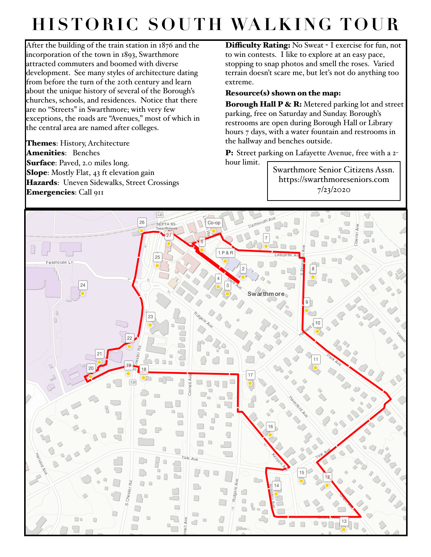## **HISTORIC SOUTH WALKING TOUR**

After the building of the train station in 1876 and the incorporation of the town in 1893, Swarthmore attracted commuters and boomed with diverse development. See many styles of architecture dating from before the turn of the 20th century and learn about the unique history of several of the Borough's churches, schools, and residences. Notice that there are no "Streets" in Swarthmore; with very few exceptions, the roads are "Avenues," most of which in the central area are named after colleges.

Themes: History, Architecture Amenities: Benches Surface: Paved, 2.0 miles long. Slope: Mostly Flat, 43 ft elevation gain Hazards: Uneven Sidewalks, Street Crossings Emergencies: Call 911

Difficulty Rating: No Sweat - I exercise for fun, not to win contests. I like to explore at an easy pace, stopping to snap photos and smell the roses. Varied terrain doesn't scare me, but let's not do anything too extreme.

## Resource(s) shown on the map:

hour limit.

Borough Hall P & R: Metered parking lot and street parking, free on Saturday and Sunday. Borough's restrooms are open during Borough Hall or Library hours 7 days, with a water fountain and restrooms in the hallway and benches outside.

P: Street parking on Lafayette Avenue, free with a 2-

Swarthmore Senior Citizens Assn. https://swarthmoreseniors.com 7/23/2020

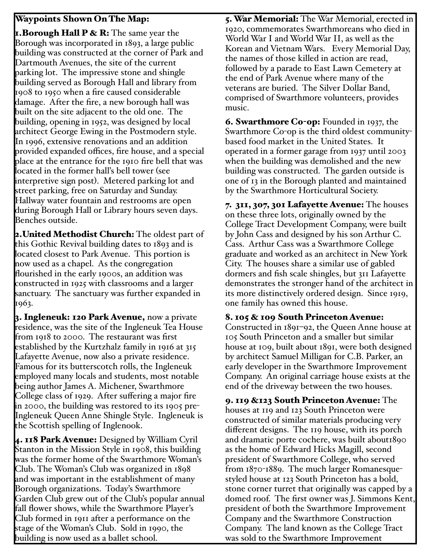## Waypoints Shown On The Map:

**1.Borough Hall P & R:** The same year the Borough was incorporated in 1893, a large public building was constructed at the corner of Park and Dartmouth Avenues, the site of the current parking lot. The impressive stone and shingle building served as Borough Hall and library from 1908 to 1950 when a fire caused considerable damage. After the fire, a new borough hall was built on the site adjacent to the old one. The building, opening in 1952, was designed by local architect George Ewing in the Postmodern style. In 1996, extensive renovations and an addition provided expanded offices, fire house, and a special place at the entrance for the 1910 fire bell that was located in the former hall's bell tower (see interpretive sign post). Metered parking lot and street parking, free on Saturday and Sunday. Hallway water fountain and restrooms are open during Borough Hall or Library hours seven days. Benches outside.

2. United Methodist Church: The oldest part of this Gothic Revival building dates to 1893 and is located closest to Park Avenue. This portion is now used as a chapel. As the congregation flourished in the early 1900s, an addition was constructed in 1925 with classrooms and a larger sanctuary. The sanctuary was further expanded in 1963.

3. Ingleneuk: 120 Park Avenue, now a private residence, was the site of the Ingleneuk Tea House from 1918 to 2000. The restaurant was first established by the Kurtzhalz family in 1916 at 315 Lafayette Avenue, now also a private residence. Famous for its butterscotch rolls, the Ingleneuk employed many locals and students, most notable being author James A. Michener, Swarthmore College class of 1929. After suffering a major fire in 2000, the building was restored to its 1905 pre-Ingleneuk Queen Anne Shingle Style. Ingleneuk is the Scottish spelling of Inglenook.

4. 118 Park Avenue: Designed by William Cyril Stanton in the Mission Style in 1908, this building was the former home of the Swarthmore Woman's Club. The Woman's Club was organized in 1898 and was important in the establishment of many Borough organizations. Today's Swarthmore Garden Club grew out of the Club's popular annual fall flower shows, while the Swarthmore Player's Club formed in 1911 after a performance on the stage of the Woman's Club. Sold in 1990, the building is now used as a ballet school.

5. War Memorial: The War Memorial, erected in 1920, commemorates Swarthmoreans who died in World War I and World War II, as well as the Korean and Vietnam Wars. Every Memorial Day, the names of those killed in action are read, followed by a parade to East Lawn Cemetery at the end of Park Avenue where many of the veterans are buried. The Silver Dollar Band, comprised of Swarthmore volunteers, provides music.

6. Swarthmore Co-op: Founded in 1937, the Swarthmore Co-op is the third oldest communitybased food market in the United States. It operated in a former garage from 1937 until 2003 when the building was demolished and the new building was constructed. The garden outside is one of 13 in the Borough planted and maintained by the Swarthmore Horticultural Society.

7. 311, 307, 301 Lafayette Avenue: The houses on these three lots, originally owned by the College Tract Development Company, were built by John Cass and designed by his son Arthur C. Cass. Arthur Cass was a Swarthmore College graduate and worked as an architect in New York City. The houses share a similar use of gabled dormers and fish scale shingles, but 311 Lafayette demonstrates the stronger hand of the architect in its more distinctively ordered design. Since 1919, one family has owned this house.

## 8. 105 & 109 South Princeton Avenue:

Constructed in 1891–92, the Queen Anne house at 105 South Princeton and a smaller but similar house at 109, built about 1891, were both designed by architect Samuel Milligan for C.B. Parker, an early developer in the Swarthmore Improvement Company. An original carriage house exists at the end of the driveway between the two houses.

9. 119 &123 South Princeton Avenue: The houses at 119 and 123 South Princeton were constructed of similar materials producing very different designs. The 119 house, with its porch and dramatic porte cochere, was built about1890 as the home of Edward Hicks Magill, second president of Swarthmore College, who served from 1870-1889. The much larger Romanesquestyled house at 123 South Princeton has a bold, stone corner turret that originally was capped by a domed roof. The first owner was J. Simmons Kent, president of both the Swarthmore Improvement Company and the Swarthmore Construction Company. The land known as the College Tract was sold to the Swarthmore Improvement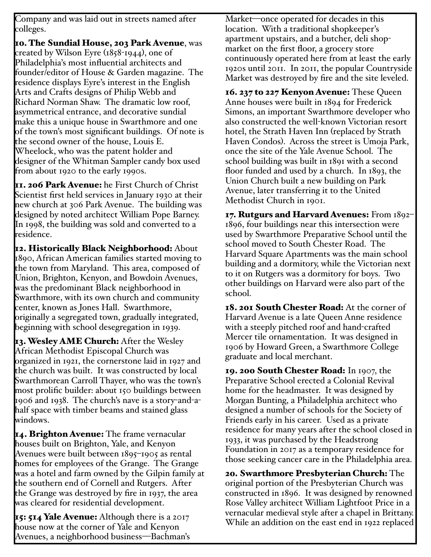Company and was laid out in streets named after colleges.

10. The Sundial House, 203 Park Avenue, was created by Wilson Eyre (1858-1944), one of Philadelphia's most influential architects and founder/editor of House & Garden magazine. The residence displays Eyre's interest in the English Arts and Crafts designs of Philip Webb and Richard Norman Shaw. The dramatic low roof, asymmetrical entrance, and decorative sundial make this a unique house in Swarthmore and one of the town's most significant buildings. Of note is the second owner of the house, Louis E. Wheelock, who was the patent holder and designer of the Whitman Sampler candy box used from about 1920 to the early 1990s.

II. 206 Park Avenue: he First Church of Christ Scientist first held services in January 1930 at their new church at 306 Park Avenue. The building was designed by noted architect William Pope Barney. In 1998, the building was sold and converted to a residence.

12. Historically Black Neighborhood: About 1890, African American families started moving to the town from Maryland. This area, composed of Union, Brighton, Kenyon, and Bowdoin Avenues, was the predominant Black neighborhood in Swarthmore, with its own church and community center, known as Jones Hall. Swarthmore, originally a segregated town, gradually integrated, beginning with school desegregation in 1939.

13. Wesley AME Church: After the Wesley African Methodist Episcopal Church was organized in 1921, the cornerstone laid in 1927 and the church was built. It was constructed by local Swarthmorean Carroll Thayer, who was the town's most prolific builder: about 150 buildings between 1906 and 1938. The church's nave is a story-and-ahalf space with timber beams and stained glass windows.

14. Brighton Avenue: The frame vernacular houses built on Brighton, Yale, and Kenyon Avenues were built between 1895–1905 as rental homes for employees of the Grange. The Grange was a hotel and farm owned by the Gilpin family at the southern end of Cornell and Rutgers. After the Grange was destroyed by fire in 1937, the area was cleared for residential development.

15: 514 Yale Avenue: Although there is a 2017 house now at the corner of Yale and Kenyon Avenues, a neighborhood business—Bachman's Market—once operated for decades in this location. With a traditional shopkeeper's apartment upstairs, and a butcher, deli shopmarket on the first floor, a grocery store continuously operated here from at least the early 1920s until 2011. In 2011, the popular Countryside Market was destroyed by fire and the site leveled.

16. 237 to 227 Kenyon Avenue: These Queen Anne houses were built in 1894 for Frederick Simons, an important Swarthmore developer who also constructed the well-known Victorian resort hotel, the Strath Haven Inn (replaced by Strath Haven Condos). Across the street is Umoja Park, once the site of the Yale Avenue School. The school building was built in 1891 with a second floor funded and used by a church. In 1893, the Union Church built a new building on Park Avenue, later transferring it to the United Methodist Church in 1901.

17. Rutgurs and Harvard Avenues: From 1892– 1896, four buildings near this intersection were used by Swarthmore Preparative School until the school moved to South Chester Road. The Harvard Square Apartments was the main school building and a dormitory, while the Victorian next to it on Rutgers was a dormitory for boys. Two other buildings on Harvard were also part of the school.

18. 201 South Chester Road: At the corner of Harvard Avenue is a late Queen Anne residence with a steeply pitched roof and hand-crafted Mercer tile ornamentation. It was designed in 1906 by Howard Green, a Swarthmore College graduate and local merchant.

19. 200 South Chester Road: In 1907, the Preparative School erected a Colonial Revival home for the headmaster. It was designed by Morgan Bunting, a Philadelphia architect who designed a number of schools for the Society of Friends early in his career. Used as a private residence for many years after the school closed in 1933, it was purchased by the Headstrong Foundation in 2017 as a temporary residence for those seeking cancer care in the Philadelphia area.

20. Swarthmore Presbyterian Church: The original portion of the Presbyterian Church was constructed in 1896. It was designed by renowned Rose Valley architect William Lightfoot Price in a vernacular medieval style after a chapel in Brittany. While an addition on the east end in 1922 replaced